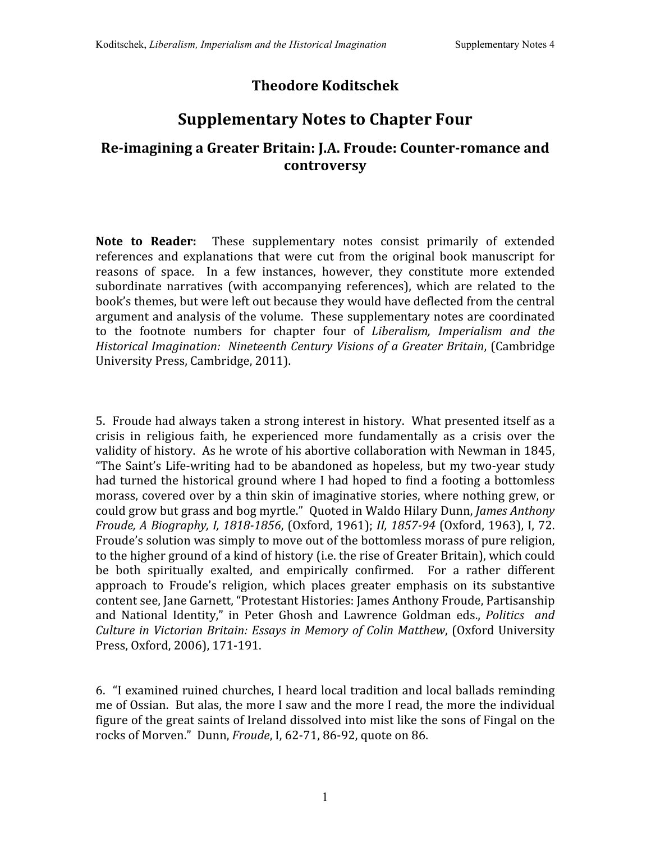## **Theodore Koditschek**

## **Supplementary Notes to Chapter Four**

## **Reimagining a Greater Britain: J.A. Froude: Counterromance and controversy**

Note to Reader: These supplementary notes consist primarily of extended references and explanations that were cut from the original book manuscript for reasons of space. In a few instances, however, they constitute more extended subordinate narratives (with accompanying references), which are related to the book's
themes,
but
were
left
out
because
they
would
have
deflected
from
the
central argument
and
analysis
of
the
volume. These
supplementary
notes
are
coordinated to the footnote numbers for chapter four of *Liberalism, Imperialism and the Historical
Imagination: Nineteenth
Century
Visions
of
a
Greater
Britain*,
(Cambridge University
Press,
Cambridge,
2011).

5. Froude
had
always
taken
a
strong
interest
in
history. What
presented
itself
as
a crisis in religious faith, he experienced more fundamentally as a crisis over the validity of history. As he wrote of his abortive collaboration with Newman in 1845, "The
Saint's
Life‐writing
had
to
be
abandoned
as
hopeless,
but
my
two‐year study had turned the historical ground where I had hoped to find a footing a bottomless morass,
covered
over
by
a
thin
skin
of
imaginative stories,
where
nothing
grew,
or could grow but grass and bog myrtle." Quoted in Waldo Hilary Dunn, James Anthony *Froude, A Biography, I, 1818-1856, (Oxford, 1961); II, 1857-94 (Oxford, 1963), I, 72.* Froude's solution was simply to move out of the bottomless morass of pure religion, to the higher ground of a kind of history (i.e. the rise of Greater Britain), which could be both spiritually exalted, and empirically confirmed. For a rather different approach to Froude's religion, which places greater emphasis on its substantive content
see,
Jane
Garnett,
"Protestant
Histories:
James
Anthony
Froude,
Partisanship and National Identity," in Peter Ghosh and Lawrence Goldman eds., *Politics and Culture
in
Victorian
Britain:
Essays
in
Memory
of
Colin
Matthew*,
(Oxford
University Press,
Oxford,
2006),
171‐191.

6. "I
examined
ruined
churches,
I
heard
local
tradition
and
local
ballads
reminding me
of
Ossian. But
alas,
the
more
I
saw
and
the
more
I
read,
the
more
the
individual figure of the great saints of Ireland dissolved into mist like the sons of Fingal on the rocks
of
Morven."

Dunn, *Froude*,
I,
62‐71,
86‐92,
quote
on
86.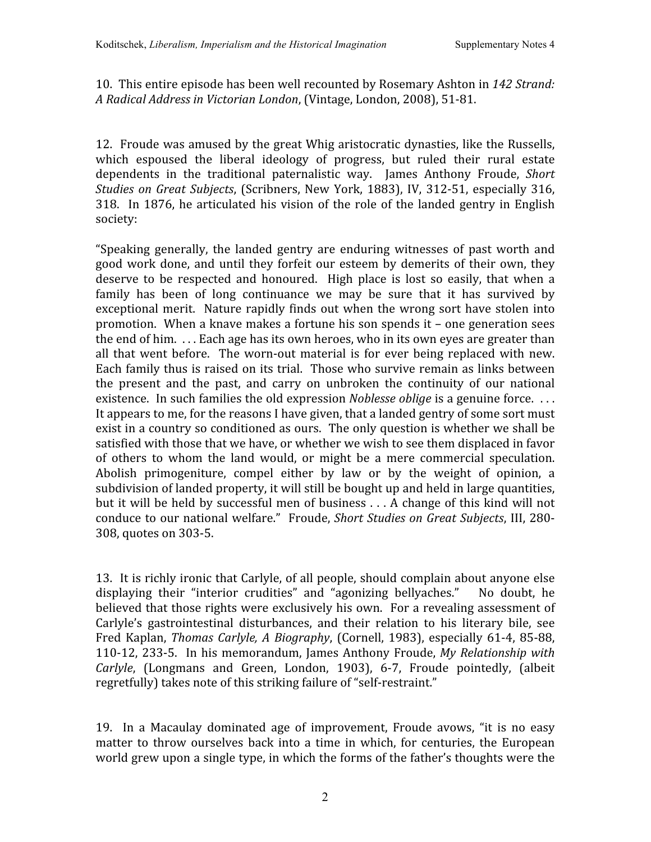10. This
entire
episode
has
been
well
recounted
by
Rosemary
Ashton
in *142
Strand: A
Radical
Address
in
Victorian
London*,
(Vintage,
London,
2008),
51‐81.

12. Froude
was
amused
by
the
great
Whig
aristocratic
dynasties,
like
the
Russells, which espoused the liberal ideology of progress, but ruled their rural estate dependents in the traditional paternalistic way. James Anthony Froude, *Short*  Studies on Great Subjects, (Scribners, New York, 1883), IV, 312-51, especially 316, 318. In
1876,
he
articulated
his
vision
of
the role
of
the
landed
gentry
in
English society:

"Speaking generally, the landed gentry are enduring witnesses of past worth and good work done, and until they forfeit our esteem by demerits of their own, they deserve to be respected and honoured. High place is lost so easily, that when a family has been of long continuance we may be sure that it has survived by exceptional merit. Nature rapidly finds out when the wrong sort have stolen into promotion. When
a
knave
makes
a
fortune
his
son
spends
it
– one
generation
sees the end of him. ... Each age has its own heroes, who in its own eyes are greater than all that went before. The worn-out material is for ever being replaced with new. Each family thus is raised on its trial. Those who survive remain as links between the present and the past, and carry on unbroken the continuity of our national existence. In such families the old expression *Noblesse oblige* is a genuine force. ... It appears to me, for the reasons I have given, that a landed gentry of some sort must exist
in
a
country
so
conditioned
as
ours. The
only
question
is
whether
we
shall
be satisfied with those that we have, or whether we wish to see them displaced in favor of others to whom the land would, or might be a mere commercial speculation. Abolish primogeniture, compel either by law or by the weight of opinion, a subdivision of landed property, it will still be bought up and held in large quantities, but it will be held by successful men of business . . . A change of this kind will not conduce to our national welfare." Froude, Short Studies on Great Subjects, III, 280-308,
quotes
on
303‐5.

13. It
is
richly
ironic
that
Carlyle,
of
all
people,
should
complain
about
anyone
else displaying their "interior crudities" and "agonizing bellyaches." No doubt, he believed that those rights were exclusively his own. For a revealing assessment of Carlyle's gastrointestinal disturbances, and their relation to his literary bile, see Fred Kaplan, *Thomas Carlyle, A Biography*, (Cornell, 1983), especially 61-4, 85-88, 110‐12,
233‐5. In
his
memorandum,
James
Anthony
Froude, *My
Relationship
with*  Carlyle, (Longmans and Green, London, 1903), 6-7, Froude pointedly, (albeit regretfully) takes note of this striking failure of "self-restraint."

19. In a Macaulay dominated age of improvement, Froude avows, "it is no easy matter to throw ourselves back into a time in which, for centuries, the European world grew upon a single type, in which the forms of the father's thoughts were the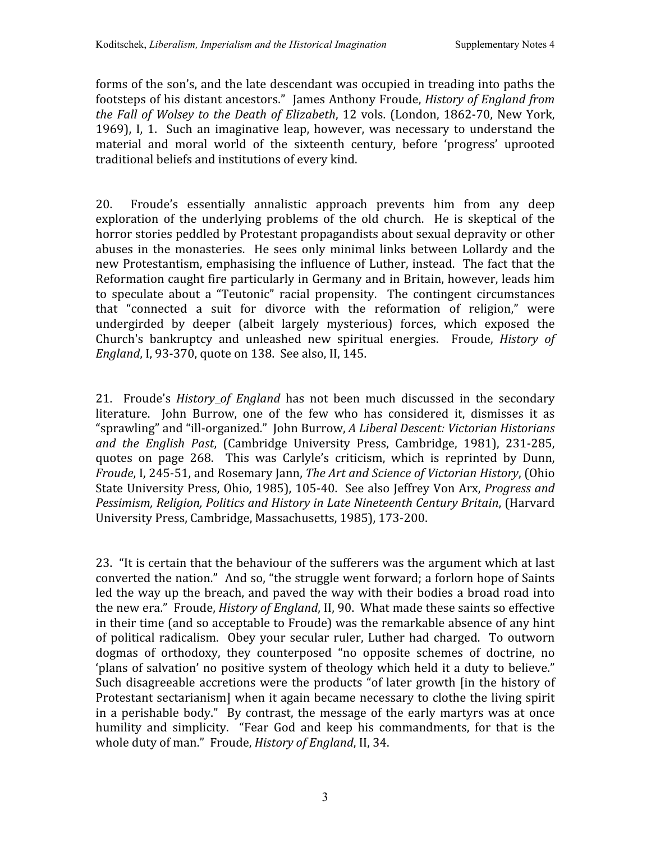forms
of
the
son's,
and
the
late
descendant
was
occupied
in
treading
into
paths
the footsteps
of
his
distant
ancestors." James
Anthony
Froude, *History
of
England
from*  the Fall of Wolsey to the Death of Elizabeth, 12 vols. (London, 1862-70, New York, 1969), I, 1. Such an imaginative leap, however, was necessary to understand the material and moral world of the sixteenth century, before 'progress' uprooted traditional
beliefs
and
institutions
of
every
kind.

20. Froude's essentially annalistic approach prevents him from any deep exploration of the underlying problems of the old church. He is skeptical of the horror stories peddled by Protestant propagandists about sexual depravity or other abuses in the monasteries. He sees only minimal links between Lollardy and the new Protestantism, emphasising the influence of Luther, instead. The fact that the Reformation caught fire particularly in Germany and in Britain, however, leads him to speculate about a
"Teutonic" racial propensity. The contingent circumstances that "connected a suit for divorce with the reformation of religion," were undergirded by deeper (albeit largely mysterious) forces, which exposed the Church's bankruptcy and unleashed new spiritual energies. Froude, *History of England*,
I,
93‐370,
quote
on
138.

See
also,
II,
145.

21. Froude's *History of England*  has not been much discussed in the secondary literature. John Burrow, one of the few who has considered it, dismisses it as "sprawling"
and
"ill‐organized." John
Burrow, *A
Liberal
Descent:
Victorian
Historians and the English Past*, (Cambridge University Press, Cambridge, 1981), 231‐285, quotes on page 268. This was Carlyle's criticism, which is reprinted by Dunn, Froude, I, 245-51, and Rosemary Jann, *The Art and Science of Victorian History*, (Ohio State University Press, Ohio, 1985), 105-40. See also Jeffrey Von Arx, *Progress and* Pessimism, Religion, Politics and History in Late Nineteenth Century Britain, (Harvard University
Press,
Cambridge,
Massachusetts,
1985),
173‐200.

23. "It is certain that the behaviour of the sufferers was the argument which at last converted the nation." And so, "the struggle went forward; a forlorn hope of Saints led the way up the breach, and paved the way with their bodies a broad road into the new era." Froude, *History of England*, II, 90. What made these saints so effective in
their
time
(and
so
acceptable
to
Froude)
was
the
remarkable
absence
of
any
hint of
political radicalism. Obey
your secular ruler,
Luther
had charged. To
outworn dogmas of orthodoxy, they counterposed "no opposite schemes of doctrine, no 'plans of salvation' no positive system of theology which held it a duty to believe." Such disagreeable accretions were the products "of later growth [in the history of Protestant sectarianism] when it again became necessary to clothe the living spirit in a perishable body." By contrast, the message of the early martyrs was at once humility and simplicity. "Fear God and keep his commandments, for that is the whole
duty
of
man."

Froude, *History
of
England*,
II,
34.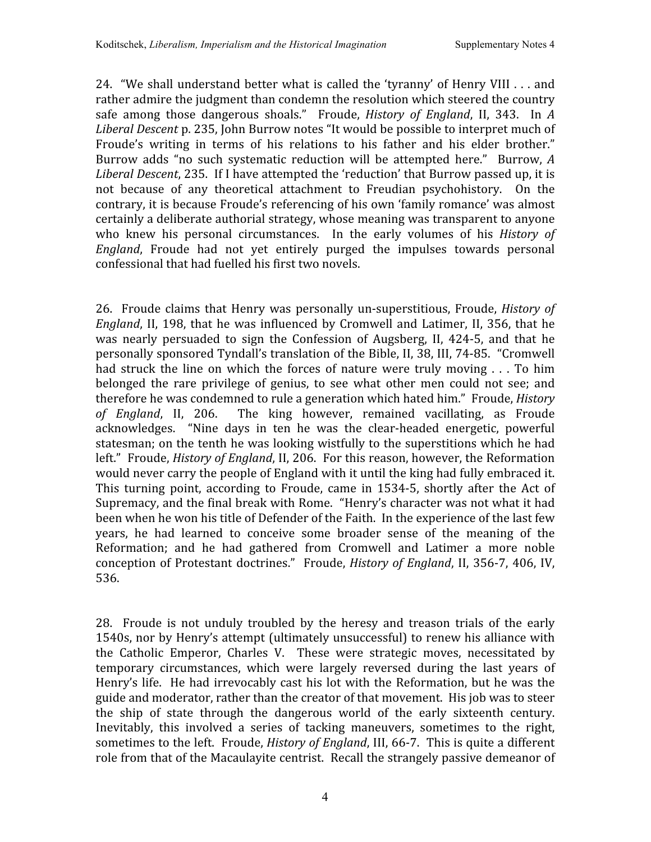24. "We shall understand better what is called the 'tyranny' of Henry VIII . . . and rather admire the judgment than condemn the resolution which steered the country safe among those dangerous shoals." Froude, *History of England*, II, 343. In A Liberal Descent p. 235, John Burrow notes "It would be possible to interpret much of Froude's writing in terms of his relations to his father and his elder brother." Burrow adds "no such systematic reduction will be attempted here." Burrow, A Liberal Descent, 235. If I have attempted the 'reduction' that Burrow passed up, it is not because of any theoretical attachment to Freudian psychohistory. On the contrary,
it
is
because
Froude's
referencing
of
his
own
'family
romance'
was
almost certainly
a
deliberate
authorial
strategy,
whose
meaning
was
transparent
to
anyone who knew his personal circumstances. In the early volumes of his *History of* England, Froude had not yet entirely purged the impulses towards personal confessional
that
had
fuelled
his
first
two
novels.

26. Froude claims
that
Henry
was
personally
un‐superstitious, Froude, *History of*  England, II, 198, that he was influenced by Cromwell and Latimer, II, 356, that he was nearly persuaded to sign the Confession of Augsberg, II, 424-5, and that he personally
sponsored
Tyndall's
translation
of
the
Bible,
II,
38,
III,
74‐85. "Cromwell had struck the line on which the forces of nature were truly moving . . . To him belonged the rare privilege of genius, to see what other men could not see; and therefore
he
was
condemned
to
rule
a
generation
which
hated
him." Froude, *History*  of England, II, 206. The king however, remained vacillating, as Froude acknowledges. "Nine days in ten he was the clear‐headed energetic, powerful statesman; on the tenth he was looking wistfully to the superstitions which he had left." Froude, *History of England*, II, 206. For this reason, however, the Reformation would never carry the people of England with it until the king had fully embraced it. This turning point, according to Froude, came in 1534-5, shortly after the Act of Supremacy, and the final break with Rome. "Henry's character was not what it had been when he won his title of Defender of the Faith. In the experience of the last few years, he had learned to conceive some broader sense of the meaning of the Reformation; and he had gathered from Cromwell and Latimer a more noble conception of Protestant doctrines." Froude, *History of England*, II, 356-7, 406, IV, 536.

28. Froude is not unduly troubled by the heresy and treason trials of the early 1540s, nor by Henry's attempt (ultimately unsuccessful) to renew his alliance with the Catholic Emperor, Charles V. These were strategic moves, necessitated by temporary circumstances, which were largely reversed during the last years of Henry's life. He had irrevocably cast his lot with the Reformation, but he was the guide
and
moderator,
rather
than
the
creator
of
that
movement. His
job
was
to
steer the ship of state through the dangerous world of the early sixteenth century. Inevitably, this involved a series of tacking maneuvers, sometimes to the right, sometimes to the left. Froude, *History of England*, III, 66-7. This is quite a different role from that of the Macaulavite centrist. Recall the strangely passive demeanor of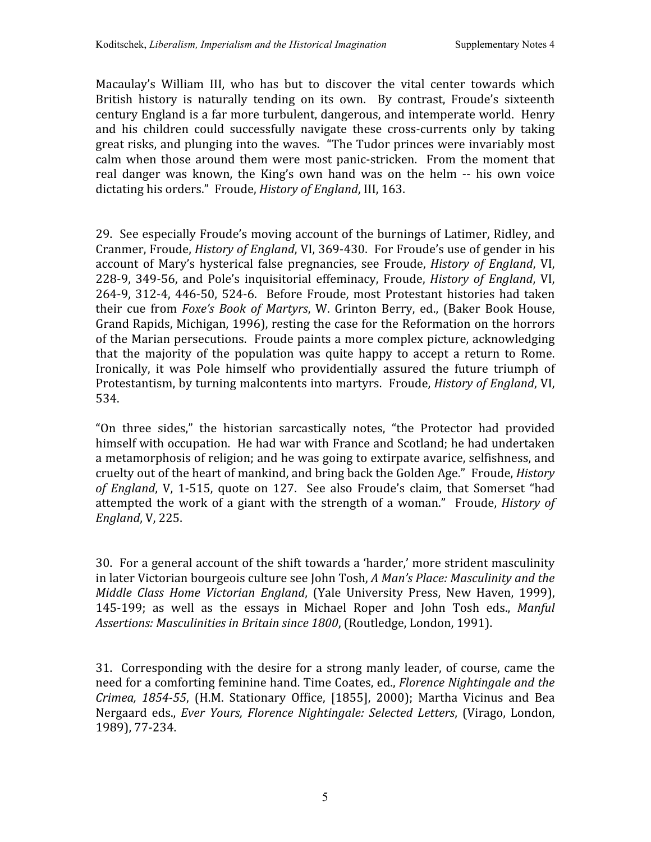Macaulay's William III, who has but to discover the vital center towards which British history is naturally tending on its own. By contrast, Froude's sixteenth century
England
is
a
far
more
turbulent,
dangerous,
and
intemperate
world. Henry and his children could successfully navigate these cross-currents only by taking great
risks,
and
plunging
into
the
waves. "The
Tudor
princes
were
invariably
most calm
when
those around
them
were most panic‐stricken. From
the moment
that real danger was known, the King's own hand was on the helm -- his own voice dictating
his
orders."

Froude, *History
of
England*,
III,
163.

29. See
especially
Froude's
moving
account
of
the
burnings
of
Latimer,
Ridley,
and Cranmer, Froude, *History of England*, VI, 369-430. For Froude's use of gender in his account of Mary's hysterical
false pregnancies, see Froude, *History of England*,
VI, 228‐9, 349‐56, and Pole's inquisitorial effeminacy, Froude, *History of England*, VI, 264‐9, 312‐4, 446‐50, 524‐6. Before Froude, most
Protestant histories had
taken their cue from *Foxe's Book of Martyrs*, W. Grinton Berry, ed., (Baker Book House, Grand Rapids, Michigan, 1996), resting the case for the Reformation on the horrors of
the
Marian
persecutions. Froude
paints
a
more
complex
picture,
acknowledging that the majority of the population was quite happy to accept a return to Rome. Ironically, it was Pole himself who providentially assured the future triumph of Protestantism, by turning malcontents into martyrs. Froude, *History of England*, VI, 534.

"On three sides," the historian sarcastically notes, "the Protector had provided himself
with
occupation. He
had
war
with
France
and
Scotland;
he
had
undertaken a
metamorphosis
of
religion;
and
he
was
going
to
extirpate
avarice,
selfishness,
and cruelty
out
of
the
heart
of
mankind,
and
bring
back
the
Golden
Age." Froude, *History*  of England, V, 1-515, quote on 127. See also Froude's claim, that Somerset "had attempted the work of a giant with the strength of a woman." Froude, *History of England*,
V,
225.

30. For
a
general
account
of
the
shift
towards
a
'harder,'
more
strident
masculinity in later Victorian bourgeois culture see John Tosh, A Man's Place: Masculinity and the *Middle Class Home Victorian England*, (Yale University Press, New Haven, 1999), 145-199; as well as the essays in Michael Roper and John Tosh eds., Manful Assertions: Masculinities in Britain since 1800, (Routledge, London, 1991).

31. Corresponding
with
the
desire
for
a strong
manly
leader,
of course, came
the need
for
a
comforting
feminine
hand.
Time
Coates,
ed., *Florence
Nightingale
and
the*  Crimea, 1854-55, (H.M. Stationary Office, [1855], 2000); Martha Vicinus and Bea Nergaard eds., *Ever Yours, Florence Nightingale: Selected Letters*, (Virago, London, 1989),
77‐234.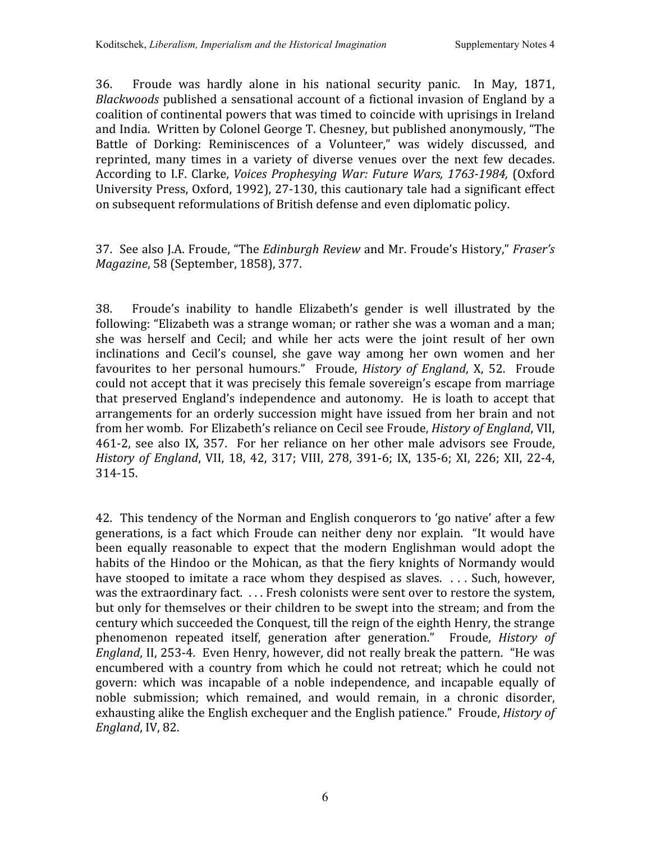36. Froude was hardly alone in his national security panic. In May, 1871, Blackwoods published a sensational account of a fictional invasion of England by a coalition
of
continental
powers
that
was
timed
to
coincide
with
uprisings
in
Ireland and
India. Written
by
Colonel
George
T.
Chesney,
but
published
anonymously,
"The Battle of Dorking: Reminiscences of a Volunteer," was widely discussed, and reprinted, many times in a variety of diverse venues over the next few decades. According
to
I.F.
Clarke, *Voices
Prophesying
War:
Future
Wars,
17631984,* (Oxford University Press, Oxford, 1992), 27-130, this cautionary tale had a significant effect on
subsequent
reformulations
of
British
defense
and
even
diplomatic
policy.

## 37. See
also
J.A.
Froude,
"The *Edinburgh
Review* and
Mr.
Froude's
History," *Fraser's Magazine*,
58
(September,
1858),
377.

38. Froude's inability to handle Elizabeth's gender is well illustrated by the following: "Elizabeth was a strange woman; or rather she was a woman and a man; she was herself and Cecil; and while her acts were the joint result of her own inclinations and Cecil's counsel, she gave way among her own women and her favourites to her personal humours." Froude, *History of England*, X, 52. Froude could
not
accept
that
it
was
precisely
this
female
sovereign's
escape
from
marriage that preserved England's independence and autonomy. He is loath to accept that arrangements
for
an
orderly
succession
might
have
issued
from
her
brain
and
not from her womb. For Elizabeth's reliance on Cecil see Froude, *History of England*, VII, 461-2, see also IX, 357. For her reliance on her other male advisors see Froude, History of England, VII, 18, 42, 317; VIII, 278, 391-6; IX, 135-6; XI, 226; XII, 22-4, 314‐15.

42. This
tendency
of
the
Norman
and
English
conquerors
to
'go
native'
after
a
few generations,
is a
fact
which Froude can
neither
deny
nor explain. "It
would
have been equally reasonable to expect that the modern Englishman would adopt the habits of the Hindoo or the Mohican, as that the fiery knights of Normandy would have stooped to imitate a race whom they despised as slaves. ... Such, however, was the extraordinary fact.... Fresh colonists were sent over to restore the system, but only for themselves or their children to be swept into the stream; and from the century
which
succeeded
the
Conquest,
till
the
reign
of
the
eighth
Henry,
the
strange phenomenon repeated itself, generation after generation." Froude, *History of* England, II, 253-4. Even Henry, however, did not really break the pattern. "He was encumbered with a country from which he could not retreat; which he could not govern: which was incapable of a noble independence, and incapable equally of noble submission; which remained, and would remain, in a chronic disorder, exhausting alike the English exchequer and the English patience." Froude, *History of England*,
IV,
82.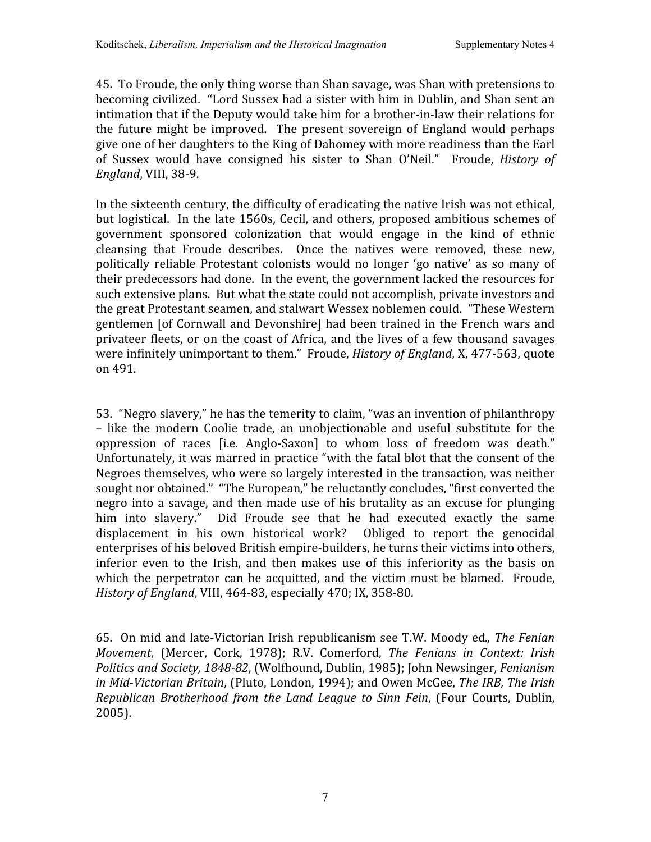45. To
Froude,
the
only
thing
worse
than
Shan
savage,
was
Shan
with
pretensions
to becoming civilized. "Lord Sussex had a sister with him in Dublin, and Shan sent an intimation that if the Deputy would take him for a brother-in-law their relations for the future might be improved. The present sovereign of England would perhaps give one of her daughters to the King of Dahomey with more readiness than the Earl of Sussex would have consigned his sister to Shan O'Neil." Froude, *History of England*,
VIII,
38‐9.

In the sixteenth century, the difficulty of eradicating the native Irish was not ethical, but
logistical. In
the
late
1560s,
Cecil,
and
others,
proposed
ambitious
schemes
of government sponsored colonization that would engage in the kind of ethnic cleansing that Froude describes. Once the natives were removed, these new, politically reliable Protestant colonists
would no longer 'go native' as so many of their
predecessors
had
done. In
the
event,
the
government
lacked
the
resources
for such
extensive
plans. But
what
the state
could
not
accomplish,
private
investors
and the
great
Protestant
seamen,
and
stalwart
Wessex
noblemen
could. "These
Western gentlemen
[of
Cornwall
and
Devonshire]
had
been
trained
in
the
French
wars
and privateer fleets, or on the coast of Africa, and the lives of a few thousand savages were infinitely unimportant to them." Froude, *History of England*, X, 477-563, quote on
491.

53. "Negro
slavery,"
he
has
the
temerity
to
claim,
"was
an
invention
of
philanthropy – like the modern Coolie trade, an unobjectionable and useful substitute for the oppression of races [i.e. Anglo-Saxon] to whom loss of freedom was death." Unfortunately, it was marred in practice "with the fatal blot that the consent of the Negroes themselves, who were so largely interested in the transaction, was neither sought nor obtained." "The European," he reluctantly concludes, "first converted the negro into a savage, and then made use of his brutality as an excuse for plunging him into slavery." Did Froude see that he had executed exactly the same displacement in his own historical work? Obliged to report the genocidal enterprises
of
his
beloved
British
empire‐builders,
he
turns
their
victims
into
others, inferior even to the Irish, and then makes use of this inferiority as the basis on which the perpetrator can be acquitted, and the victim must be blamed. Froude, *History
of
England*,
VIII,
464‐83,
especially
470;
IX,
358‐80.

65. On
mid
and
late‐Victorian
Irish
republicanism
see
T.W.
Moody
ed*.,
The
Fenian*  Movement, (Mercer, Cork, 1978); R.V. Comerford, The Fenians in Context: Irish Politics and Society, 1848-82, (Wolfhound, Dublin, 1985); John Newsinger, Fenianism in Mid-Victorian Britain, (Pluto, London, 1994); and Owen McGee, The IRB, The Irish *Republican Brotherhood from the Land League to Sinn Fein*,
(Four Courts, Dublin, 2005).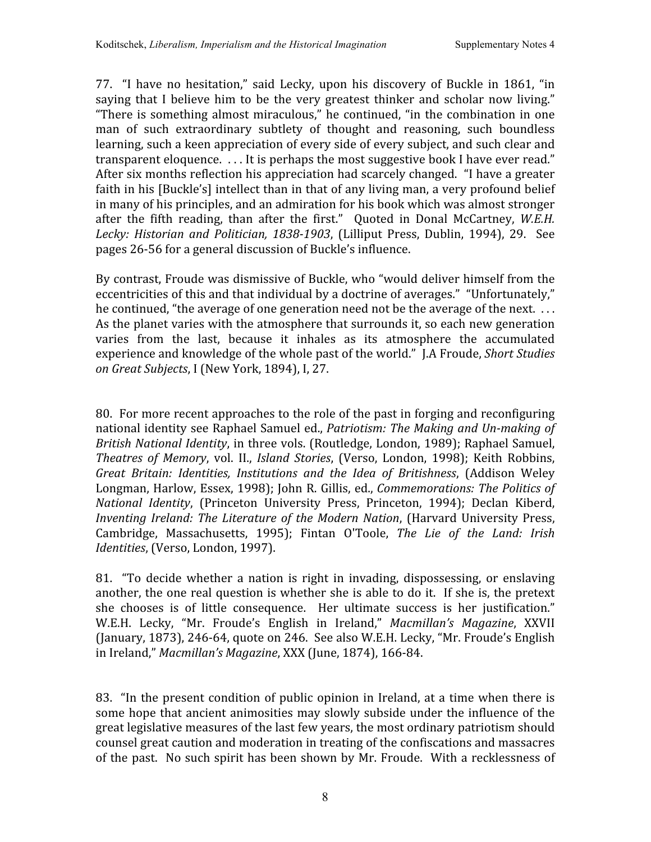77. "I have no hesitation," said Lecky, upon his discovery of Buckle in 1861, "in saying that I believe him to be the very greatest thinker and scholar now living." "There is something almost miraculous," he continued, "in the combination in one man of such extraordinary subtlety of thought and reasoning, such boundless learning, such a keen appreciation of every side of every subject, and such clear and transparent eloquence. . . . It is perhaps the most suggestive book I have ever read." After six months reflection his appreciation had scarcely changed. "I have a greater faith in his [Buckle's] intellect than in that of any living man, a very profound belief in
many
of
his
principles,
and
an
admiration
for
his
book
which
was
almost
stronger after the fifth reading, than after the first." Quoted in Donal McCartney, W.E.H. Lecky: Historian and Politician, 1838-1903, (Lilliput Press, Dublin, 1994), 29. See pages 26-56 for a general discussion of Buckle's influence.

By contrast, Froude was dismissive of Buckle, who "would deliver himself from the eccentricities of this and that individual by a doctrine of averages." "Unfortunately." he continued, "the average of one generation need not be the average of the next... As the planet varies with the atmosphere that surrounds it, so each new generation varies from the last, because it inhales as its atmosphere the accumulated experience and knowledge of the whole past of the world." I.A Froude, *Short Studies on
Great
Subjects*,
I
(New
York,
1894),
I,
27.

80. For more recent approaches to the role of the past in forging and reconfiguring national identity see Raphael Samuel ed., *Patriotism: The Making and Un-making of* British National Identity, in three vols. (Routledge, London, 1989); Raphael Samuel, Theatres of Memory, vol. II., *Island Stories*, (Verso, London, 1998); Keith Robbins, *Great Britain: Identities, Institutions and the Idea of Britishness*, (Addison Weley Longman, Harlow, Essex, 1998); John R. Gillis, ed., *Commemorations: The Politics of* National Identity, (Princeton University Press, Princeton, 1994); Declan Kiberd, Inventing Ireland: The Literature of the Modern Nation, (Harvard University Press, Cambridge, Massachusetts, 1995); Fintan O'Toole, *The Lie of the Land: Irish Identities*,
(Verso,
London,
1997).

81. "To decide whether a nation is right in invading, dispossessing, or enslaving another, the one real question is whether she is able to do it. If she is, the pretext she chooses is of little consequence. Her ultimate success is her justification." W.E.H. Lecky, "Mr. Froude's English in Ireland," *Macmillan's Magazine*, XXVII (January,
1873),
246‐64,
quote
on
246. See
also
W.E.H.
Lecky,
"Mr.
Froude's
English in
Ireland," *Macmillan's
Magazine*,
XXX
(June,
1874),
166‐84.

83. "In the present condition of public opinion in Ireland, at a time when there is some hope that ancient animosities may slowly subside under the influence of the great
legislative
measures
of
the last
few
years,
the
most
ordinary
patriotism
should counsel
great
caution
and
moderation
in
treating
of
the
confiscations
and
massacres of
the
past. No
such
spirit
has
been
shown
by
Mr.
Froude. With
a
recklessness
of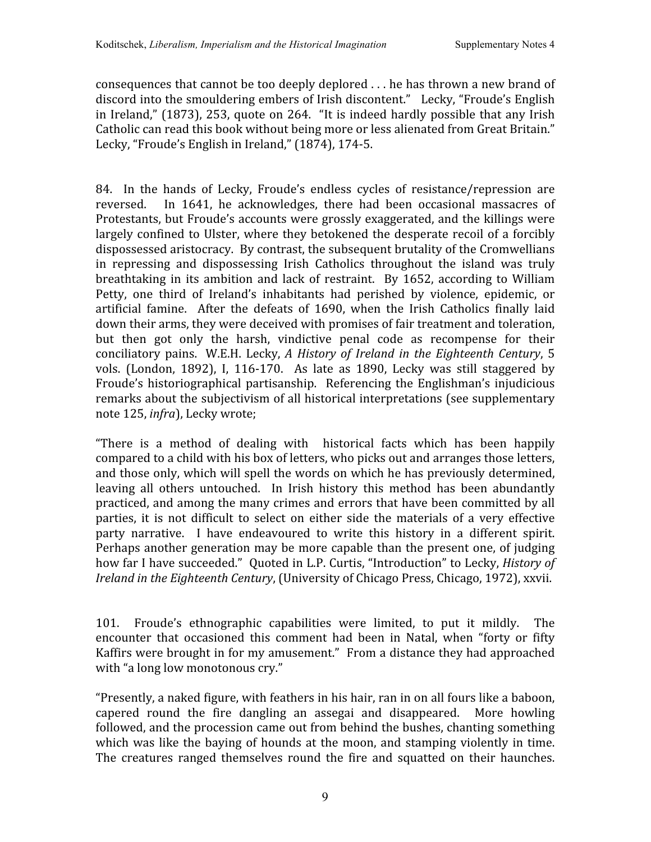consequences
that
cannot
be
too
deeply
deplored
.
.
.
he
has
thrown
a
new
brand
of discord into the smouldering embers of Irish discontent." Lecky, "Froude's English in
Ireland,"
(1873),
253,
quote
on
264. "It
is
indeed
hardly
possible
that
any
Irish Catholic can read this book without being more or less alienated from Great Britain." Lecky,
"Froude's
English
in
Ireland,"
(1874),
174‐5.

84. In the hands of Lecky, Froude's endless cycles of resistance/repression are reversed. In 1641, he acknowledges, there had been occasional massacres of Protestants, but Froude's accounts were grossly exaggerated, and the killings were largely confined to Ulster, where they betokened the desperate recoil of a forcibly dispossessed
aristocracy. By
contrast,
the
subsequent
brutality
of
the
Cromwellians in repressing and dispossessing Irish Catholics throughout the island was truly breathtaking in its ambition and lack of restraint. By 1652, according to William Petty, one third of Ireland's inhabitants had perished by violence, epidemic, or artificial famine. After the defeats of 1690, when the Irish Catholics finally laid down their arms, they were deceived with promises of fair treatment and toleration, but then got only the harsh, vindictive penal code as recompense for their conciliatory pains. W.E.H. Lecky, *A
History of
Ireland in
the Eighteenth Century*, 5 vols. (London, 1892), I, 116-170. As late as 1890, Lecky was still staggered by Froude's
historiographical
partisanship. Referencing
the
Englishman's
injudicious remarks
about
the
subjectivism
of
all
historical
interpretations
(see
supplementary note
125, *infra*),
Lecky
wrote;

"There is a method of dealing with historical facts which has been happily compared to a child with his box of letters, who picks out and arranges those letters, and
those
only,
which
will
spell
the
words
on
which
he
has
previously
determined, leaving all others untouched. In Irish history this method has been abundantly practiced,
and
among
the
many
crimes
and
errors
that
have
been
committed
by
all parties, it is not difficult to select on either side the materials of a very effective party narrative. I have endeavoured to write this history in a different spirit. Perhaps another generation may be more capable than the present one, of judging how far I have succeeded." Ouoted in L.P. Curtis, "Introduction" to Lecky, *History of* Ireland in the Eighteenth Century, (University of Chicago Press, Chicago, 1972), xxvii.

101. Froude's ethnographic capabilities were limited, to put it mildly. The encounter that occasioned this comment had been in Natal, when "forty or fifty Kaffirs
were
brought
in
for
my
amusement." From
a
distance
they
had
approached with "a long low monotonous cry."

"Presently,
a
naked
figure,
with
feathers
in
his
hair,
ran
in
on
all
fours
like
a
baboon, capered round the fire dangling an assegai and disappeared. More howling followed, and the procession came out from behind the bushes, chanting something which was like the baying of hounds at the moon, and stamping violently in time. The creatures ranged themselves round the fire and squatted on their haunches.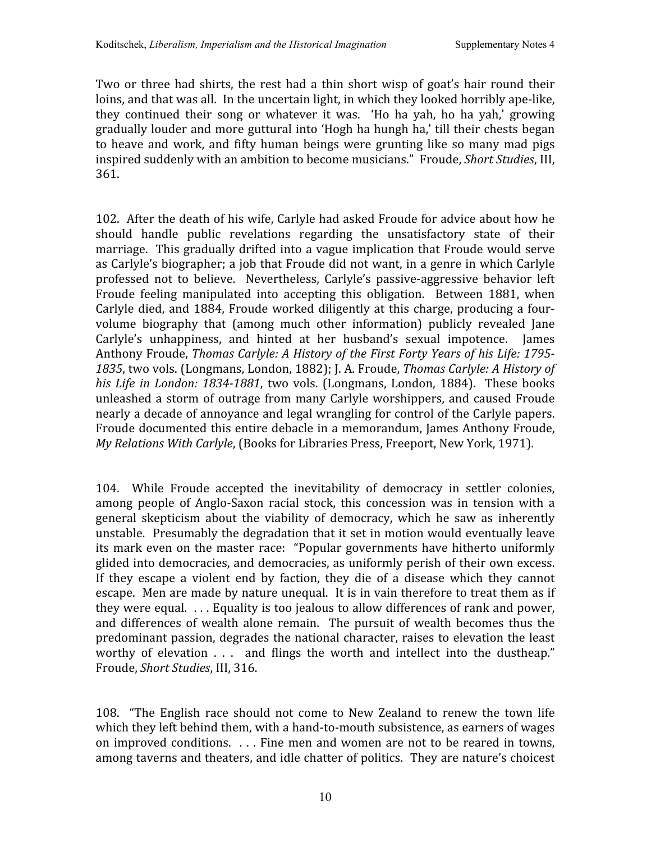Two or three had shirts, the rest had a thin short wisp of goat's hair round their loins, and that was all. In the uncertain light, in which they looked horribly ape-like, they continued their song or whatever it was. 'Ho ha yah, ho ha yah,' growing gradually louder and more guttural into 'Hogh ha hungh ha,' till their chests began to heave and work, and fifty human beings were grunting like so many mad pigs inspired
suddenly
with
an
ambition to
become
musicians." Froude, *Short
Studies*,
III, 361.

102. After
the
death
of
his
wife,
Carlyle
had
asked
Froude
for
advice
about
how
he should handle public revelations regarding the unsatisfactory state of their marriage. This gradually drifted into a vague implication that Froude would serve as Carlyle's biographer; a job that Froude did not want, in a genre in which Carlyle professed not to believe. Nevertheless, Carlyle's passive‐aggressive behavior left Froude feeling manipulated into accepting this obligation. Between 1881, when Carlyle died, and 1884, Froude worked diligently at this charge, producing a fourvolume biography that (among much other information) publicly revealed Jane Carlyle's unhappiness, and hinted at her husband's sexual impotence. James Anthony Froude, Thomas Carlyle: A History of the First Forty Years of his Life: 1795-1835, two vols. (Longmans, London, 1882); J. A. Froude, Thomas Carlyle: A History of his Life in London: 1834-1881, two vols. (Longmans, London, 1884). These books unleashed
a storm
of
outrage
from
many
Carlyle
worshippers,
and caused
Froude nearly
a
decade
of
annoyance
and
legal
wrangling
for
control
of
the
Carlyle
papers. Froude documented this entire debacle in a memorandum, James Anthony Froude, My Relations With Carlyle, (Books for Libraries Press, Freeport, New York, 1971).

104. While Froude accepted the inevitability of democracy in settler colonies, among people of Anglo-Saxon racial stock, this concession was in tension with a general skepticism about the viability of democracy, which he saw as inherently unstable. Presumably
the
degradation
that
it
set
in
motion
would
eventually
leave its mark even on the master race: "Popular governments have hitherto uniformly glided
into
democracies,
and
democracies,
as
uniformly
perish
of
their
own
excess. If they escape a violent end by faction, they die of a disease which they cannot escape. Men are made by nature unequal. It is in vain therefore to treat them as if they were equal. ... Equality is too jealous to allow differences of rank and power, and differences of wealth alone remain. The pursuit of wealth becomes thus the predominant passion, degrades the national character, raises to elevation the least worthy of elevation . . . and flings the worth and intellect into the dustheap." Froude, *Short
Studies*,
III,
316.

108. "The English race should not come to New Zealand to renew the town life which they left behind them, with a hand-to-mouth subsistence, as earners of wages on improved conditions. . . . Fine men and women are not to be reared in towns, among taverns and theaters, and idle chatter of politics. They are nature's choicest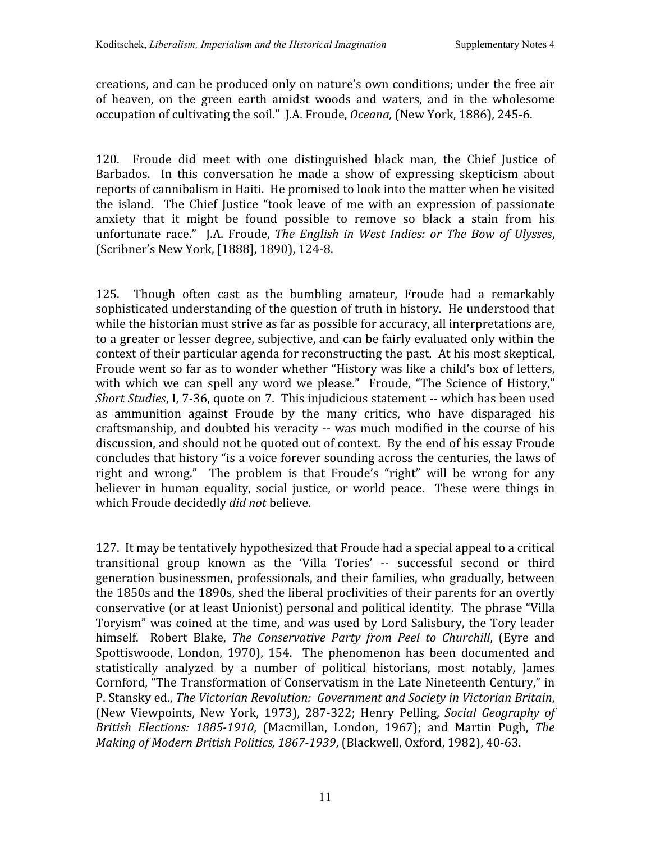creations,
and
can
be
produced
only
on
nature's
own
conditions;
under
the
free
air of heaven, on the green earth amidst woods and waters, and in the wholesome occupation of cultivating the soil." J.A. Froude, *Oceana*, (New York, 1886), 245-6.

120. Froude did meet with one distinguished black man, the Chief Justice of Barbados. In this conversation he made a show of expressing skepticism about reports of cannibalism in Haiti. He promised to look into the matter when he visited the island. The Chief Justice "took leave of me with an expression of passionate anxiety that it might be found possible to remove so black a stain from his unfortunate race." J.A. Froude, *The English in West
Indies: or The Bow of Ulysses*, (Scribner's
New
York,
[1888],
1890),
124‐8.

125. Though often cast as the bumbling amateur. Froude had a remarkably sophisticated understanding of the question of truth in history. He understood that while the historian must strive as far as possible for accuracy, all interpretations are, to a greater or lesser degree, subjective, and can be fairly evaluated only within the context
of
their
particular
agenda
for
reconstructing
the
past. At
his
most
skeptical, Froude went so far as to wonder whether "History was like a child's box of letters, with which we can spell any word we please." Froude, "The Science of History," Short Studies, I, 7-36, quote on 7. This injudicious statement -- which has been used as ammunition against Froude by the many critics, who have disparaged his craftsmanship, and doubted his veracity -- was much modified in the course of his discussion, and should not be quoted out of context. By the end of his essay Froude concludes
that
history
"is
a
voice
forever
sounding
across
the
centuries,
the
laws
of right and wrong." The problem is that Froude's "right" will be wrong for any believer in human equality, social justice, or world peace. These were things in which
Froude
decidedly *did
not*believe.

127. It may be tentatively hypothesized that Froude had a special appeal to a critical transitional group known as the 'Villa Tories' ‐‐ successful second or third generation
businessmen,
professionals,
and
their
families,
who
gradually,
between the 1850s and the 1890s, shed the liberal proclivities of their parents for an overtly conservative
(or
at
least
Unionist)
personal
and
political
identity. The
phrase
"Villa Toryism"
was
coined
at
the
time,
and
was
used
by
Lord
Salisbury,
the
Tory
leader himself. Robert Blake, The Conservative Party from Peel to Churchill, (Eyre and Spottiswoode, London, 1970), 154. The phenomenon has been documented and statistically analyzed by a number of political historians, most notably, James Cornford, "The Transformation of Conservatism in the Late Nineteenth Century," in P.
Stansky
ed., *The
Victorian
Revolution: Government
and
Society
in
Victorian
Britain*, (New Viewpoints, New York, 1973), 287-322; Henry Pelling, Social Geography of British Elections: 1885-1910, (Macmillan, London, 1967); and Martin Pugh, The *Making
of
Modern
British
Politics,
18671939*,
(Blackwell,
Oxford,
1982),
40‐63.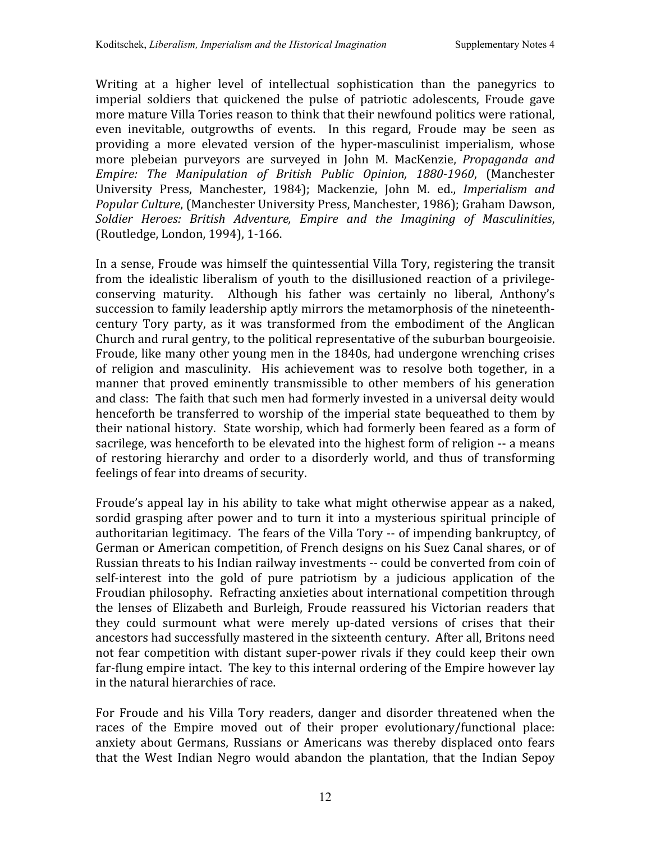Writing at a higher level of intellectual sophistication than the panegyrics to imperial soldiers that quickened the pulse of patriotic adolescents, Froude gave more mature Villa Tories reason to think that their newfound politics were rational, even inevitable, outgrowths of events. In this regard, Froude may be seen as providing a more elevated version of the hyper-masculinist imperialism, whose more plebeian purveyors are surveyed in John M. MacKenzie, *Propaganda and Empire: The Manipulation of British Public Opinion, 18801960*, (Manchester University Press, Manchester, 1984); Mackenzie, John M. ed., Imperialism and Popular Culture, (Manchester University Press, Manchester, 1986); Graham Dawson, *Soldier Heroes: British Adventure, Empire and the Imagining of Masculinities*, (Routledge,
London,
1994),
1‐166.

In a sense, Froude was himself the quintessential Villa Tory, registering the transit from the idealistic liberalism of youth to the disillusioned reaction of a privilegeconserving maturity. Although his father was certainly no liberal, Anthony's succession to family leadership aptly mirrors the metamorphosis of the nineteenthcentury Tory party, as it was transformed from the embodiment of the Anglican Church and rural gentry, to the political representative of the suburban bourgeoisie. Froude, like many other voung men in the 1840s, had undergone wrenching crises of religion and masculinity. His achievement was to resolve both together, in a manner that proved eminently transmissible to other members of his generation and
class: The
faith
that
such
men
had
formerly
invested
in
a
universal
deity
would henceforth be transferred to worship of the imperial state bequeathed to them by their national history. State worship, which had formerly been feared as a form of sacrilege, was henceforth to be elevated into the highest form of religion -- a means of restoring hierarchy and order to a disorderly world, and thus of transforming feelings
of
fear
into
dreams
of
security.

Froude's appeal lay in his ability to take what might otherwise appear as a naked, sordid grasping after power and to turn it into a mysterious spiritual principle of authoritarian
legitimacy. The
fears
of
the
Villa
Tory
‐‐ of
impending
bankruptcy,
of German or American competition, of French designs on his Suez Canal shares, or of Russian threats to his Indian railway investments -- could be converted from coin of self-interest into the gold of pure patriotism by a judicious application of the Froudian
philosophy. Refracting
anxieties
about
international
competition
through the lenses of Elizabeth and Burleigh, Froude reassured his Victorian readers
that they could surmount what were merely up-dated versions of crises that their ancestors
had
successfully
mastered
in
the
sixteenth
century. After
all,
Britons
need not fear competition with distant super-power rivals if they could keep their own far-flung empire intact. The key to this internal ordering of the Empire however lay in
the
natural
hierarchies
of
race.

For Froude and his Villa Tory readers, danger and disorder threatened when the races of the Empire moved out of their proper evolutionary/functional place: anxiety about Germans, Russians or Americans was thereby displaced onto fears that the West Indian Negro would abandon the plantation, that the Indian Sepoy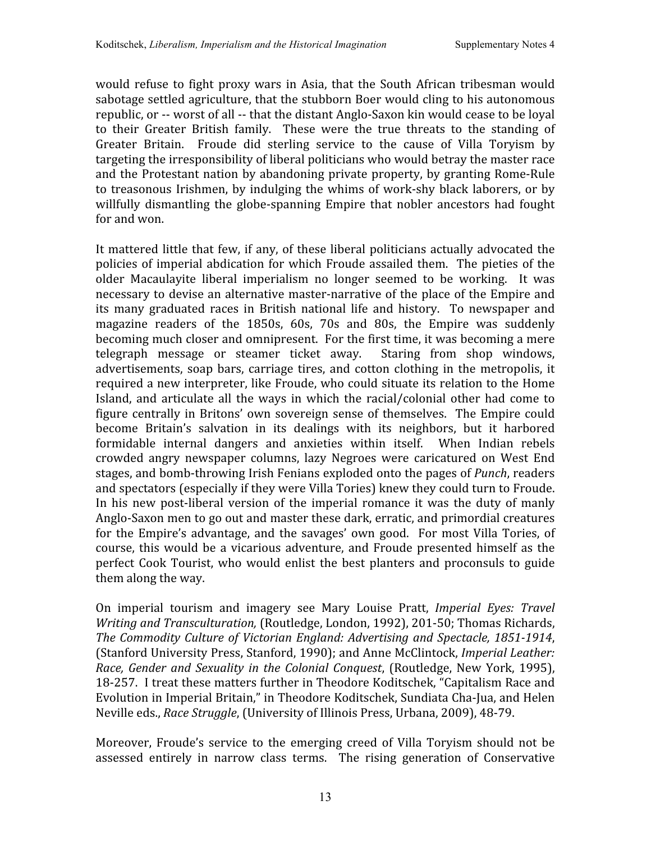would refuse to fight proxy wars in Asia, that the South African tribesman would sabotage settled agriculture, that the stubborn Boer would cling to his autonomous republic, or -- worst of all -- that the distant Anglo-Saxon kin would cease to be loyal to their Greater British family. These were the true threats to the standing of Greater Britain. Froude did sterling service to the cause of Villa Toryism by targeting the irresponsibility of liberal politicians who would betray the master race and
the
Protestant
nation
by
abandoning
private
property,
by
granting
Rome‐Rule to treasonous Irishmen, by indulging the whims of work-shy black laborers, or by willfully dismantling the globe-spanning Empire that nobler ancestors had fought for
and
won.

It mattered little that few, if any, of these liberal politicians actually advocated the policies of imperial abdication for which Froude assailed them. The pieties of the older Macaulayite liberal imperialism no longer seemed to be working. It was necessary to devise an alternative master-narrative of the place of the Empire and its many graduated races in British national life and history. To newspaper and magazine readers of the 1850s, 60s, 70s and 80s, the Empire was suddenly becoming much closer and omnipresent. For the first time, it was becoming a mere telegraph message or steamer ticket away. Staring from shop windows, advertisements, soap bars, carriage tires, and cotton clothing in the metropolis, it required a new interpreter, like Froude, who could situate its relation to the Home Island, and articulate all the ways in which the racial/colonial other had come to figure centrally in Britons' own sovereign sense of themselves. The Empire could become Britain's salvation in its dealings with its neighbors, but it harbored formidable internal dangers and anxieties within itself. When Indian rebels crowded angry newspaper columns, lazy Negroes were caricatured on West End stages,
and
bomb‐throwing
Irish
Fenians
exploded
onto
the
pages
of *Punch*,
readers and spectators (especially if they were Villa Tories) knew they could turn to Froude. In his new post-liberal version of the imperial romance it was the duty of manly Anglo-Saxon men to go out and master these dark, erratic, and primordial creatures for the Empire's advantage, and the savages' own good. For most Villa Tories, of course,
this
would
be a vicarious adventure, and
Froude
presented
himself as
the perfect
Cook
Tourist,
who
would enlist
the best
planters and
proconsuls
to guide them
along
the
way.

On imperial tourism and imagery see Mary Louise Pratt, *Imperial Eyes: Travel*  Writing and Transculturation, (Routledge, London, 1992), 201-50; Thomas Richards, The Commodity Culture of Victorian England: Advertising and Spectacle, 1851-1914, (Stanford
University
Press,
Stanford,
1990);
and
Anne
McClintock, *Imperial
Leather:*  Race, Gender and Sexuality in the Colonial Conquest, (Routledge, New York, 1995), 18‐257. I
treat
these
matters
further
in
Theodore
Koditschek,
"Capitalism
Race
and Evolution in Imperial Britain," in Theodore Koditschek, Sundiata Cha-Jua, and Helen Neville
eds., *Race
Struggle*,
(University
of
Illinois
Press,
Urbana,
2009),
48‐79.

Moreover, Froude's service to the emerging creed of Villa Toryism should not be assessed entirely in narrow class terms. The rising generation of Conservative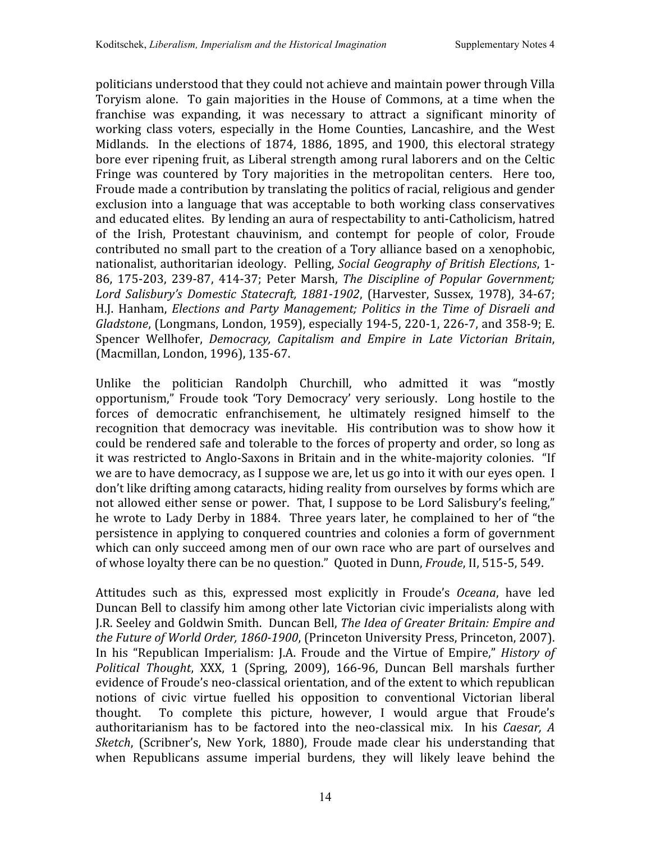politicians
understood
that
they
could
not
achieve
and
maintain
power
through
Villa Toryism alone. To gain majorities in the House of Commons, at a time when the franchise was expanding, it was necessary to attract a significant minority of working class voters, especially in the Home Counties, Lancashire, and the West Midlands. In the elections of 1874, 1886, 1895, and 1900, this electoral strategy bore ever ripening fruit, as Liberal strength among rural laborers and on the Celtic Fringe was countered by Tory majorities in the metropolitan centers. Here too, Froude made a contribution by translating the politics of racial, religious and gender exclusion
into
a
language
that
was
acceptable
to
both
working
class
conservatives and
educated
elites. By
lending
an
aura
of
respectability
to
anti‐Catholicism,
hatred of the Irish, Protestant chauvinism, and contempt for people of color, Froude contributed
no
small
part
to
the
creation
of
a
Tory
alliance
based
on
a
xenophobic, nationalist,
authoritarian
ideology. Pelling, *Social
Geography
of
British
Elections*,
1‐ 86, 175‐203, 239‐87, 414‐37; Peter Marsh, *The Discipline of Popular Government; Lord Salisbury's Domestic Statecraft, 18811902*,
(Harvester, Sussex, 1978), 34‐67; H.J. Hanham, *Elections and Party Management; Politics in the Time of Disraeli and* Gladstone, (Longmans, London, 1959), especially 194-5, 220-1, 226-7, and 358-9; E. Spencer Wellhofer, *Democracy, Capitalism and Empire in Late Victorian Britain*, (Macmillan,
London,
1996),
135‐67.

Unlike the politician Randolph Churchill, who admitted it was "mostly opportunism," Froude took 'Tory Democracy' very seriously. Long hostile to the forces of democratic enfranchisement, he ultimately resigned himself to the recognition that democracy was inevitable. His contribution was to show how it could be rendered safe and tolerable to the forces of property and order, so long as it was restricted to Anglo-Saxons in Britain and in the white-majority colonies. "If we are to have democracy, as I suppose we are, let us go into it with our eyes open. I don't
like
drifting
among
cataracts,
hiding
reality
from
ourselves
by
forms
which
are not allowed either sense or power. That, I suppose to be Lord Salisbury's feeling," he wrote to Lady Derby in 1884. Three years later, he complained to her of "the persistence
in
applying
to
conquered
countries
and
colonies
a
form
of
government which can only succeed among men of our own race who are part of ourselves and of
whose
loyalty
there
can
be
no
question."

Quoted
in
Dunn, *Froude*,
II,
515‐5,
549.

Attitudes such as this, expressed most explicitly in Froude's Oceana, have led Duncan
Bell
to
classify
him
among
other
late
Victorian
civic
imperialists
along
with I.R. Seeley and Goldwin Smith. Duncan Bell, *The Idea of Greater Britain: Empire and* the Future of World Order, 1860-1900, (Princeton University Press, Princeton, 2007). In his "Republican Imperialism: J.A. Froude and the Virtue of Empire," *History of* Political Thought, XXX, 1 (Spring, 2009), 166-96, Duncan Bell marshals further evidence of Froude's neo-classical orientation, and of the extent to which republican notions of civic virtue fuelled his opposition to conventional Victorian liberal thought. To complete this picture, however, I would argue that Froude's authoritarianism has to be factored into the neo-classical mix. In his *Caesar*, *A* Sketch, (Scribner's, New York, 1880), Froude made clear his understanding that when Republicans assume imperial burdens, they will likely leave behind the